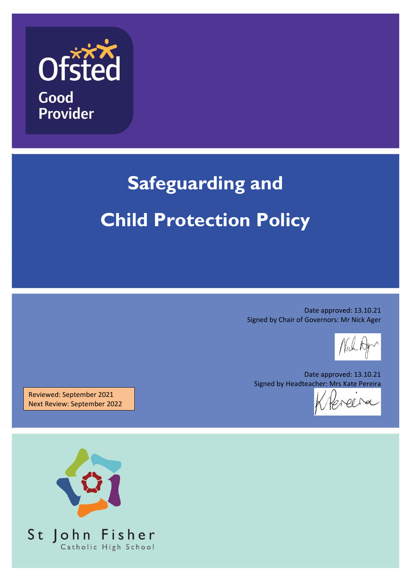

# **Safeguarding and Child Protection Policy**

Date approved: 13.10.21 Signed by Chair of Governors: Mr Nick Ager

Date approved: 13.10.21 Signed by Headteacher: Mrs Kate Pereira

Reviewed: September 2021 Next Review: September 2022

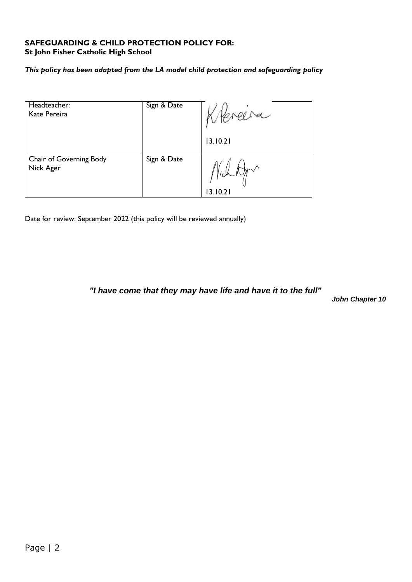#### **SAFEGUARDING & CHILD PROTECTION POLICY FOR: St John Fisher Catholic High School**

#### *This policy has been adapted from the LA model child protection and safeguarding policy*

| Headteacher:<br>Kate Pereira         | Sign & Date | 13.10.21 |
|--------------------------------------|-------------|----------|
| Chair of Governing Body<br>Nick Ager | Sign & Date | 3.10.21  |

Date for review: September 2022 (this policy will be reviewed annually)

*"I have come that they may have life and have it to the full"*

*John Chapter 10*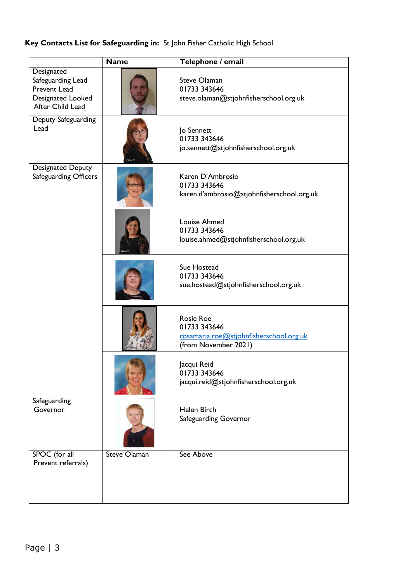## **Key Contacts List for Safeguarding in:** St John Fisher Catholic High School

|                                                                                                 | <b>Name</b>         | Telephone / email                                                                                   |  |
|-------------------------------------------------------------------------------------------------|---------------------|-----------------------------------------------------------------------------------------------------|--|
| Designated<br>Safeguarding Lead<br><b>Prevent Lead</b><br>Designated Looked<br>After Child Lead |                     | <b>Steve Olaman</b><br>01733 343646<br>steve.olaman@stjohnfisherschool.org.uk                       |  |
| Deputy Safeguarding<br>Lead                                                                     |                     | Jo Sennett<br>01733 343646<br>jo.sennett@stjohnfisherschool.org.uk                                  |  |
| Designated Deputy<br><b>Safeguarding Officers</b>                                               |                     | Karen D'Ambrosio<br>01733 343646<br>karen.d'ambrosio@stjohnfisherschool.org.uk                      |  |
|                                                                                                 |                     | Louise Ahmed<br>01733 343646<br>louise.ahmed@stjohnfisherschool.org.uk                              |  |
|                                                                                                 |                     | Sue Hostead<br>01733 343646<br>sue.hostead@stjohnfisherschool.org.uk                                |  |
|                                                                                                 |                     | <b>Rosie Roe</b><br>01733 343646<br>rosamaria.roe@stjohnfisherschool.org.uk<br>(from November 2021) |  |
|                                                                                                 |                     | Jacqui Reid<br>01733 343646<br>jacqui.reid@stjohnfisherschool.org.uk                                |  |
| Safeguarding<br>Governor                                                                        |                     | <b>Helen Birch</b><br>Safeguarding Governor                                                         |  |
| SPOC (for all<br>Prevent referrals)                                                             | <b>Steve Olaman</b> | See Above                                                                                           |  |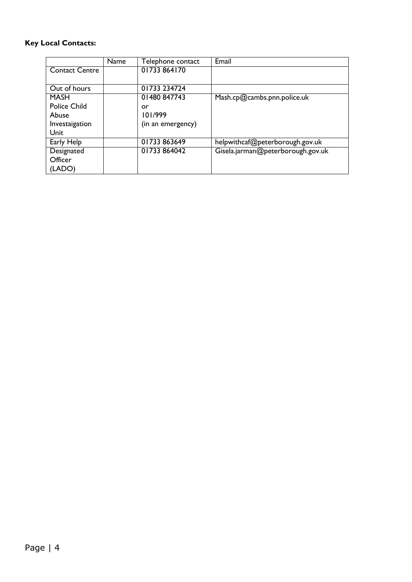## **Key Local Contacts:**

|                       | <b>Name</b> | Telephone contact | Email                             |
|-----------------------|-------------|-------------------|-----------------------------------|
| <b>Contact Centre</b> |             | 01733 864170      |                                   |
|                       |             |                   |                                   |
| Out of hours          |             | 01733 234724      |                                   |
| <b>MASH</b>           |             | 01480 847743      | Mash.cp@cambs.pnn.police.uk       |
| <b>Police Child</b>   |             | or                |                                   |
| Abuse                 |             | 101/999           |                                   |
| Investaigation        |             | (in an emergency) |                                   |
| Unit                  |             |                   |                                   |
| Early Help            |             | 01733 863649      | helpwithcaf@peterborough.gov.uk   |
| Designated            |             | 01733 864042      | Gisela.jarman@peterborough.gov.uk |
| Officer               |             |                   |                                   |
| (LADO)                |             |                   |                                   |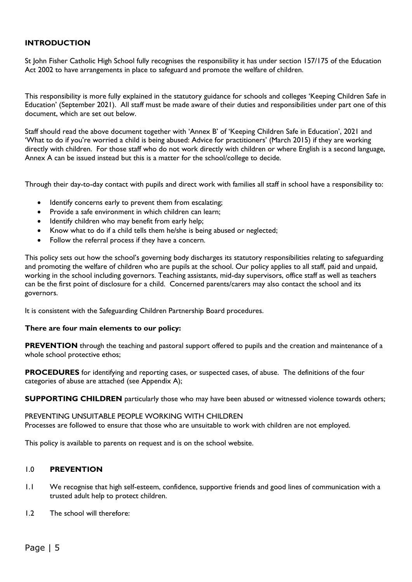#### **INTRODUCTION**

St John Fisher Catholic High School fully recognises the responsibility it has under section 157/175 of the Education Act 2002 to have arrangements in place to safeguard and promote the welfare of children.

This responsibility is more fully explained in the statutory guidance for schools and colleges 'Keeping Children Safe in Education' (September 2021). All staff must be made aware of their duties and responsibilities under part one of this document, which are set out below.

Staff should read the above document together with 'Annex B' of 'Keeping Children Safe in Education', 2021 and 'What to do if you're worried a child is being abused: Advice for practitioners' (March 2015) if they are working directly with children. For those staff who do not work directly with children or where English is a second language, Annex A can be issued instead but this is a matter for the school/college to decide.

Through their day-to-day contact with pupils and direct work with families all staff in school have a responsibility to:

- Identify concerns early to prevent them from escalating;
- Provide a safe environment in which children can learn;
- Identify children who may benefit from early help;
- Know what to do if a child tells them he/she is being abused or neglected;
- Follow the referral process if they have a concern.

This policy sets out how the school's governing body discharges its statutory responsibilities relating to safeguarding and promoting the welfare of children who are pupils at the school. Our policy applies to all staff, paid and unpaid, working in the school including governors. Teaching assistants, mid-day supervisors, office staff as well as teachers can be the first point of disclosure for a child. Concerned parents/carers may also contact the school and its governors.

It is consistent with the Safeguarding Children Partnership Board procedures.

#### **There are four main elements to our policy:**

**PREVENTION** through the teaching and pastoral support offered to pupils and the creation and maintenance of a whole school protective ethos;

**PROCEDURES** for identifying and reporting cases, or suspected cases, of abuse. The definitions of the four categories of abuse are attached (see Appendix A);

**SUPPORTING CHILDREN** particularly those who may have been abused or witnessed violence towards others;

PREVENTING UNSUITABLE PEOPLE WORKING WITH CHILDREN Processes are followed to ensure that those who are unsuitable to work with children are not employed.

This policy is available to parents on request and is on the school website.

#### 1.0 **PREVENTION**

- 1.1 We recognise that high self-esteem, confidence, supportive friends and good lines of communication with a trusted adult help to protect children.
- 1.2 The school will therefore: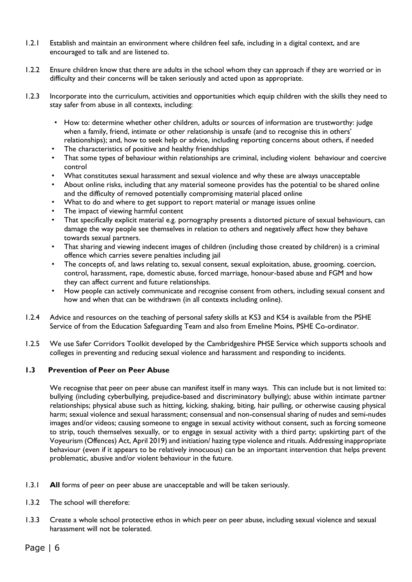- 1.2.1 Establish and maintain an environment where children feel safe, including in a digital context, and are encouraged to talk and are listened to.
- 1.2.2 Ensure children know that there are adults in the school whom they can approach if they are worried or in difficulty and their concerns will be taken seriously and acted upon as appropriate.
- 1.2.3 Incorporate into the curriculum, activities and opportunities which equip children with the skills they need to stay safer from abuse in all contexts, including:
	- How to: determine whether other children, adults or sources of information are trustworthy: judge when a family, friend, intimate or other relationship is unsafe (and to recognise this in others' relationships); and, how to seek help or advice, including reporting concerns about others, if needed
	- The characteristics of positive and healthy friendships
	- That some types of behaviour within relationships are criminal, including violent behaviour and coercive control
	- What constitutes sexual harassment and sexual violence and why these are always unacceptable
	- About online risks, including that any material someone provides has the potential to be shared online and the difficulty of removed potentially compromising material placed online
	- What to do and where to get support to report material or manage issues online
	- The impact of viewing harmful content
	- That specifically explicit material e.g. pornography presents a distorted picture of sexual behaviours, can damage the way people see themselves in relation to others and negatively affect how they behave towards sexual partners.
	- That sharing and viewing indecent images of children (including those created by children) is a criminal offence which carries severe penalties including jail
	- The concepts of, and laws relating to, sexual consent, sexual exploitation, abuse, grooming, coercion, control, harassment, rape, domestic abuse, forced marriage, honour-based abuse and FGM and how they can affect current and future relationships.
	- How people can actively communicate and recognise consent from others, including sexual consent and how and when that can be withdrawn (in all contexts including online).
- 1.2.4 Advice and resources on the teaching of personal safety skills at KS3 and KS4 is available from the PSHE Service of from the Education Safeguarding Team and also from Emeline Moins, PSHE Co-ordinator.
- 1.2.5 We use Safer Corridors Toolkit developed by the Cambridgeshire PHSE Service which supports schools and colleges in preventing and reducing sexual violence and harassment and responding to incidents.

#### **1.3 Prevention of Peer on Peer Abuse**

We recognise that peer on peer abuse can manifest itself in many ways. This can include but is not limited to: bullying (including cyberbullying, prejudice-based and discriminatory bullying); abuse within intimate partner relationships; physical abuse such as hitting, kicking, shaking, biting, hair pulling, or otherwise causing physical harm; sexual violence and sexual harassment; consensual and non-consensual sharing of nudes and semi-nudes images and/or videos; causing someone to engage in sexual activity without consent, such as forcing someone to strip, touch themselves sexually, or to engage in sexual activity with a third party; upskirting part of the Voyeurism (Offences) Act, April 2019) and initiation/ hazing type violence and rituals. Addressing inappropriate behaviour (even if it appears to be relatively innocuous) can be an important intervention that helps prevent problematic, abusive and/or violent behaviour in the future.

- 1.3.1 **All** forms of peer on peer abuse are unacceptable and will be taken seriously.
- 1.3.2 The school will therefore:
- 1.3.3 Create a whole school protective ethos in which peer on peer abuse, including sexual violence and sexual harassment will not be tolerated.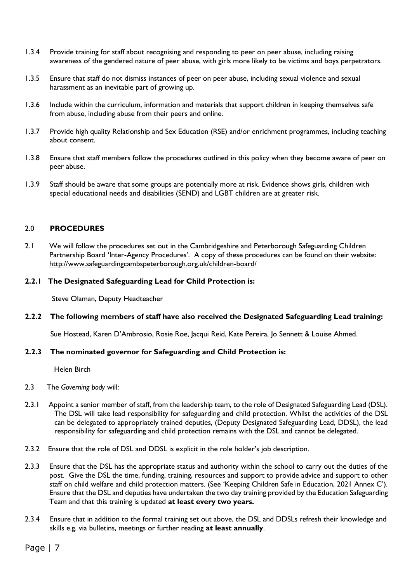- 1.3.4 Provide training for staff about recognising and responding to peer on peer abuse, including raising awareness of the gendered nature of peer abuse, with girls more likely to be victims and boys perpetrators.
- 1.3.5 Ensure that staff do not dismiss instances of peer on peer abuse, including sexual violence and sexual harassment as an inevitable part of growing up.
- 1.3.6 Include within the curriculum, information and materials that support children in keeping themselves safe from abuse, including abuse from their peers and online.
- 1.3.7 Provide high quality Relationship and Sex Education (RSE) and/or enrichment programmes, including teaching about consent.
- 1.3.8 Ensure that staff members follow the procedures outlined in this policy when they become aware of peer on peer abuse.
- 1.3.9 Staff should be aware that some groups are potentially more at risk. Evidence shows girls, children with special educational needs and disabilities (SEND) and LGBT children are at greater risk.

#### 2.0 **PROCEDURES**

2.1 We will follow the procedures set out in the Cambridgeshire and Peterborough Safeguarding Children Partnership Board 'Inter-Agency Procedures'. A copy of these procedures can be found on their website: <http://www.safeguardingcambspeterborough.org.uk/children-board/>

#### **2.2.1 The Designated Safeguarding Lead for Child Protection is:**

Steve Olaman, Deputy Headteacher

#### **2.2.2 The following members of staff have also received the Designated Safeguarding Lead training:**

Sue Hostead, Karen D'Ambrosio, Rosie Roe, Jacqui Reid, Kate Pereira, Jo Sennett & Louise Ahmed.

#### **2.2.3 The nominated governor for Safeguarding and Child Protection is:**

Helen Birch

- 2.3 The *Governing body* will:
- 2.3.1 Appoint a senior member of staff, from the leadership team, to the role of Designated Safeguarding Lead (DSL). The DSL will take lead responsibility for safeguarding and child protection. Whilst the activities of the DSL can be delegated to appropriately trained deputies, (Deputy Designated Safeguarding Lead, DDSL), the lead responsibility for safeguarding and child protection remains with the DSL and cannot be delegated.
- 2.3.2 Ensure that the role of DSL and DDSL is explicit in the role holder's job description.
- 2.3.3 Ensure that the DSL has the appropriate status and authority within the school to carry out the duties of the post. Give the DSL the time, funding, training, resources and support to provide advice and support to other staff on child welfare and child protection matters. (See 'Keeping Children Safe in Education, 2021 Annex C'). Ensure that the DSL and deputies have undertaken the two day training provided by the Education Safeguarding Team and that this training is updated **at least every two years.**
- 2.3.4 Ensure that in addition to the formal training set out above, the DSL and DDSLs refresh their knowledge and skills e.g. via bulletins, meetings or further reading **at least annually**.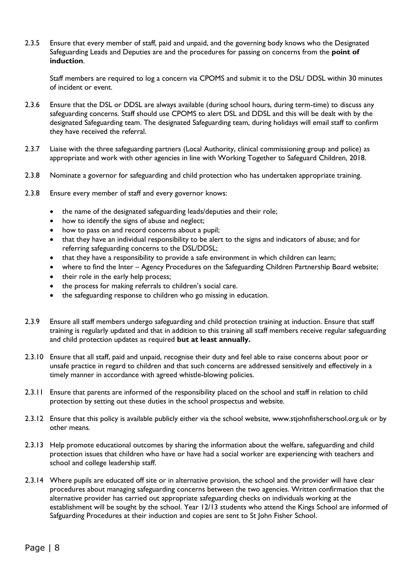2.3.5 Ensure that every member of staff, paid and unpaid, and the governing body knows who the Designated Safeguarding Leads and Deputies are and the procedures for passing on concerns from the **point of induction**.

Staff members are required to log a concern via CPOMS and submit it to the DSL/ DDSL within 30 minutes of incident or event.

- 2.3.6 Ensure that the DSL or DDSL are always available (during school hours, during term-time) to discuss any safeguarding concerns. Staff should use CPOMS to alert DSL and DDSL and this will be dealt with by the designated Safeguarding team. The designated Safeguarding team, during holidays will email staff to confirm they have received the referral.
- 2.3.7 Liaise with the three safeguarding partners (Local Authority, clinical commissioning group and police) as appropriate and work with other agencies in line with Working Together to Safeguard Children, 2018.
- 2.3.8 Nominate a governor for safeguarding and child protection who has undertaken appropriate training.
- 2.3.8 Ensure every member of staff and every governor knows:
	- the name of the designated safeguarding leads/deputies and their role;
	- how to identify the signs of abuse and neglect;
	- how to pass on and record concerns about a pupil;
	- that they have an individual responsibility to be alert to the signs and indicators of abuse; and for referring safeguarding concerns to the DSL/DDSL;
	- that they have a responsibility to provide a safe environment in which children can learn;
	- where to find the Inter Agency Procedures on the Safeguarding Children Partnership Board website;
	- their role in the early help process;
	- the process for making referrals to children's social care.
	- the safeguarding response to children who go missing in education.
- 2.3.9 Ensure all staff members undergo safeguarding and child protection training at induction. Ensure that staff training is regularly updated and that in addition to this training all staff members receive regular safeguarding and child protection updates as required **but at least annually.**
- 2.3.10 Ensure that all staff, paid and unpaid, recognise their duty and feel able to raise concerns about poor or unsafe practice in regard to children and that such concerns are addressed sensitively and effectively in a timely manner in accordance with agreed whistle-blowing policies.
- 2.3.11 Ensure that parents are informed of the responsibility placed on the school and staff in relation to child protection by setting out these duties in the school prospectus and website*.*
- 2.3.12 Ensure that this policy is available publicly either via the school website*,* www.stjohnfisherschool.org.uk or by other means*.*
- 2.3.13 Help promote educational outcomes by sharing the information about the welfare, safeguarding and child protection issues that children who have or have had a social worker are experiencing with teachers and school and college leadership staff.
- 2.3.14 Where pupils are educated off site or in alternative provision, the school and the provider will have clear procedures about managing safeguarding concerns between the two agencies. Written confirmation that the alternative provider has carried out appropriate safeguarding checks on individuals working at the establishment will be sought by the school. Year 12/13 students who attend the Kings School are informed of Safguarding Procedures at their induction and copies are sent to St John Fisher School.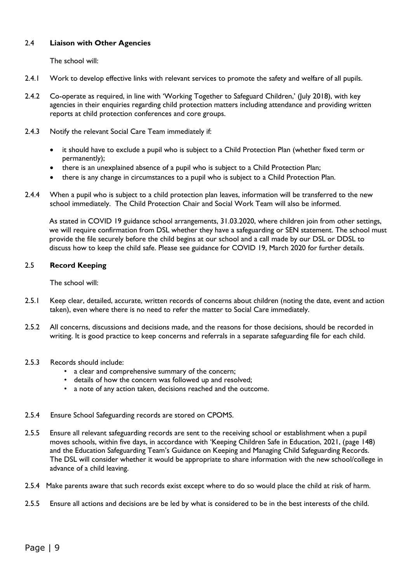#### 2.4 **Liaison with Other Agencies**

The school will:

- 2.4.1 Work to develop effective links with relevant services to promote the safety and welfare of all pupils.
- 2.4.2 Co-operate as required, in line with 'Working Together to Safeguard Children,' (July 2018), with key agencies in their enquiries regarding child protection matters including attendance and providing written reports at child protection conferences and core groups.
- 2.4.3 Notify the relevant Social Care Team immediately if:
	- it should have to exclude a pupil who is subject to a Child Protection Plan (whether fixed term or permanently);
	- there is an unexplained absence of a pupil who is subject to a Child Protection Plan;
	- there is any change in circumstances to a pupil who is subject to a Child Protection Plan.
- 2.4.4 When a pupil who is subject to a child protection plan leaves, information will be transferred to the new school immediately. The Child Protection Chair and Social Work Team will also be informed.

As stated in COVID 19 guidance school arrangements, 31.03.2020, where children join from other settings, we will require confirmation from DSL whether they have a safeguarding or SEN statement. The school must provide the file securely before the child begins at our school and a call made by our DSL or DDSL to discuss how to keep the child safe. Please see guidance for COVID 19, March 2020 for further details.

#### 2.5 **Record Keeping**

The school will:

- 2.5.1 Keep clear, detailed, accurate, written records of concerns about children (noting the date, event and action taken), even where there is no need to refer the matter to Social Care immediately.
- 2.5.2 All concerns, discussions and decisions made, and the reasons for those decisions, should be recorded in writing. It is good practice to keep concerns and referrals in a separate safeguarding file for each child.
- 2.5.3 Records should include:
	- a clear and comprehensive summary of the concern;
	- details of how the concern was followed up and resolved;
	- a note of any action taken, decisions reached and the outcome.
- 2.5.4 Ensure School Safeguarding records are stored on CPOMS.
- 2.5.5 Ensure all relevant safeguarding records are sent to the receiving school or establishment when a pupil moves schools, within five days, in accordance with 'Keeping Children Safe in Education, 2021, (page 148) and the Education Safeguarding Team's Guidance on Keeping and Managing Child Safeguarding Records. The DSL will consider whether it would be appropriate to share information with the new school/college in advance of a child leaving.
- 2.5.4 Make parents aware that such records exist except where to do so would place the child at risk of harm.
- 2.5.5 Ensure all actions and decisions are be led by what is considered to be in the best interests of the child.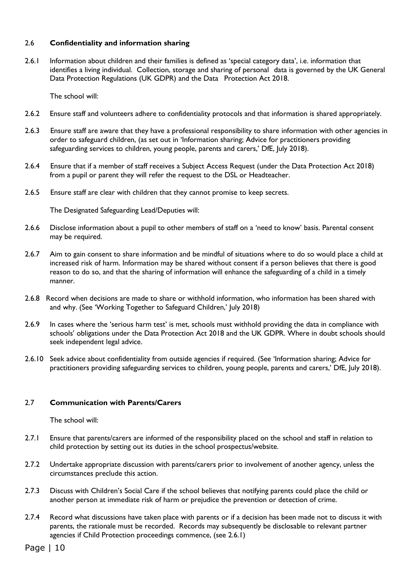#### 2.6 **Confidentiality and information sharing**

2.6.1 Information about children and their families is defined as 'special category data', i.e. information that identifies a living individual. Collection, storage and sharing of personal data is governed by the UK General Data Protection Regulations (UK GDPR) and the Data Protection Act 2018.

The school will:

- 2.6.2 Ensure staff and volunteers adhere to confidentiality protocols and that information is shared appropriately.
- 2.6.3 Ensure staff are aware that they have a professional responsibility to share information with other agencies in order to safeguard children, (as set out in 'Information sharing; Advice for practitioners providing safeguarding services to children, young people, parents and carers,' DfE, July 2018).
- 2.6.4 Ensure that if a member of staff receives a Subject Access Request (under the Data Protection Act 2018) from a pupil or parent they will refer the request to the DSL or Headteacher.
- 2.6.5 Ensure staff are clear with children that they cannot promise to keep secrets.

The Designated Safeguarding Lead/Deputies will:

- 2.6.6 Disclose information about a pupil to other members of staff on a 'need to know' basis. Parental consent may be required.
- 2.6.7 Aim to gain consent to share information and be mindful of situations where to do so would place a child at increased risk of harm. Information may be shared without consent if a person believes that there is good reason to do so, and that the sharing of information will enhance the safeguarding of a child in a timely manner.
- 2.6.8 Record when decisions are made to share or withhold information, who information has been shared with and why. (See 'Working Together to Safeguard Children,' July 2018)
- 2.6.9 In cases where the 'serious harm test' is met, schools must withhold providing the data in compliance with schools' obligations under the Data Protection Act 2018 and the UK GDPR. Where in doubt schools should seek independent legal advice.
- 2.6.10 Seek advice about confidentiality from outside agencies if required. (See 'Information sharing; Advice for practitioners providing safeguarding services to children, young people, parents and carers,' DfE, July 2018).

#### 2.7 **Communication with Parents/Carers**

The school will:

- 2.7.1 Ensure that parents/carers are informed of the responsibility placed on the school and staff in relation to child protection by setting out its duties in the school prospectus/website.
- 2.7.2 Undertake appropriate discussion with parents/carers prior to involvement of another agency, unless the circumstances preclude this action.
- 2.7.3 Discuss with Children's Social Care if the school believes that notifying parents could place the child or another person at immediate risk of harm or prejudice the prevention or detection of crime.
- 2.7.4 Record what discussions have taken place with parents or if a decision has been made not to discuss it with parents, the rationale must be recorded. Records may subsequently be disclosable to relevant partner agencies if Child Protection proceedings commence, (see 2.6.1)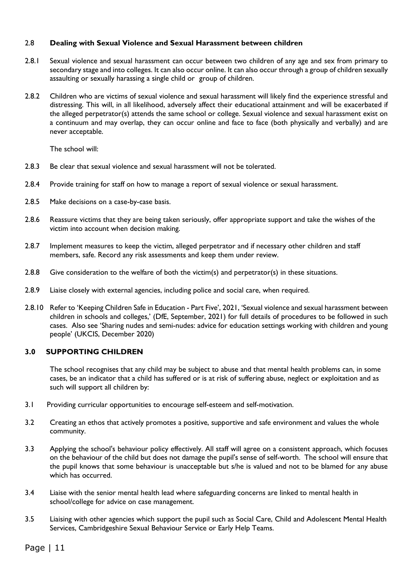#### 2.8 **Dealing with Sexual Violence and Sexual Harassment between children**

- 2.8.1 Sexual violence and sexual harassment can occur between two children of any age and sex from primary to secondary stage and into colleges. It can also occur online. It can also occur through a group of children sexually assaulting or sexually harassing a single child or group of children.
- 2.8.2 Children who are victims of sexual violence and sexual harassment will likely find the experience stressful and distressing. This will, in all likelihood, adversely affect their educational attainment and will be exacerbated if the alleged perpetrator(s) attends the same school or college. Sexual violence and sexual harassment exist on a continuum and may overlap, they can occur online and face to face (both physically and verbally) and are never acceptable.

The school will:

- 2.8.3 Be clear that sexual violence and sexual harassment will not be tolerated.
- 2.8.4 Provide training for staff on how to manage a report of sexual violence or sexual harassment.
- 2.8.5 Make decisions on a case-by-case basis.
- 2.8.6 Reassure victims that they are being taken seriously, offer appropriate support and take the wishes of the victim into account when decision making.
- 2.8.7 Implement measures to keep the victim, alleged perpetrator and if necessary other children and staff members, safe. Record any risk assessments and keep them under review.
- 2.8.8 Give consideration to the welfare of both the victim(s) and perpetrator(s) in these situations.
- 2.8.9 Liaise closely with external agencies, including police and social care, when required.
- 2.8.10 Refer to 'Keeping Children Safe in Education Part Five', 2021, 'Sexual violence and sexual harassment between children in schools and colleges,' (DfE, September, 2021) for full details of procedures to be followed in such cases. Also see 'Sharing nudes and semi-nudes: advice for education settings working with children and young people' (UKCIS, December 2020)

#### **3.0 SUPPORTING CHILDREN**

The school recognises that any child may be subject to abuse and that mental health problems can, in some cases, be an indicator that a child has suffered or is at risk of suffering abuse, neglect or exploitation and as such will support all children by:

- 3.1 Providing curricular opportunities to encourage self-esteem and self-motivation.
- 3.2 Creating an ethos that actively promotes a positive, supportive and safe environment and values the whole community.
- 3.3 Applying the school's behaviour policy effectively. All staff will agree on a consistent approach, which focuses on the behaviour of the child but does not damage the pupil's sense of self-worth. The school will ensure that the pupil knows that some behaviour is unacceptable but s/he is valued and not to be blamed for any abuse which has occurred.
- 3.4 Liaise with the senior mental health lead where safeguarding concerns are linked to mental health in school/college for advice on case management.
- 3.5 Liaising with other agencies which support the pupil such as Social Care, Child and Adolescent Mental Health Services, Cambridgeshire Sexual Behaviour Service or Early Help Teams.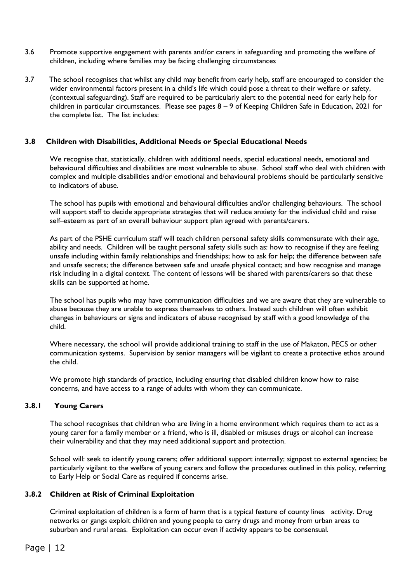- 3.6 Promote supportive engagement with parents and/or carers in safeguarding and promoting the welfare of children, including where families may be facing challenging circumstances
- 3.7 The school recognises that whilst any child may benefit from early help, staff are encouraged to consider the wider environmental factors present in a child's life which could pose a threat to their welfare or safety, (contextual safeguarding). Staff are required to be particularly alert to the potential need for early help for children in particular circumstances. Please see pages 8 – 9 of Keeping Children Safe in Education, 2021 for the complete list. The list includes:

#### **3.8 Children with Disabilities, Additional Needs or Special Educational Needs**

We recognise that, statistically, children with additional needs, special educational needs, emotional and behavioural difficulties and disabilities are most vulnerable to abuse. School staff who deal with children with complex and multiple disabilities and/or emotional and behavioural problems should be particularly sensitive to indicators of abuse*.* 

The school has pupils with emotional and behavioural difficulties and/or challenging behaviours. The school will support staff to decide appropriate strategies that will reduce anxiety for the individual child and raise self–esteem as part of an overall behaviour support plan agreed with parents/carers.

As part of the PSHE curriculum staff will teach children personal safety skills commensurate with their age, ability and needs. Children will be taught personal safety skills such as: how to recognise if they are feeling unsafe including within family relationships and friendships; how to ask for help; the difference between safe and unsafe secrets; the difference between safe and unsafe physical contact; and how recognise and manage risk including in a digital context. The content of lessons will be shared with parents/carers so that these skills can be supported at home.

The school has pupils who may have communication difficulties and we are aware that they are vulnerable to abuse because they are unable to express themselves to others. Instead such children will often exhibit changes in behaviours or signs and indicators of abuse recognised by staff with a good knowledge of the child.

Where necessary, the school will provide additional training to staff in the use of Makaton, PECS or other communication systems. Supervision by senior managers will be vigilant to create a protective ethos around the child.

We promote high standards of practice, including ensuring that disabled children know how to raise concerns, and have access to a range of adults with whom they can communicate.

#### **3.8.1 Young Carers**

The school recognises that children who are living in a home environment which requires them to act as a young carer for a family member or a friend, who is ill, disabled or misuses drugs or alcohol can increase their vulnerability and that they may need additional support and protection.

School will: seek to identify young carers; offer additional support internally; signpost to external agencies; be particularly vigilant to the welfare of young carers and follow the procedures outlined in this policy, referring to Early Help or Social Care as required if concerns arise.

#### **3.8.2 Children at Risk of Criminal Exploitation**

Criminal exploitation of children is a form of harm that is a typical feature of county lines activity. Drug networks or gangs exploit children and young people to carry drugs and money from urban areas to suburban and rural areas. Exploitation can occur even if activity appears to be consensual.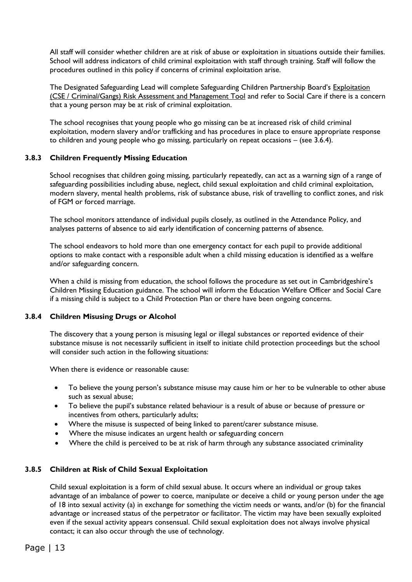All staff will consider whether children are at risk of abuse or exploitation in situations outside their families. School will address indicators of child criminal exploitation with staff through training. Staff will follow the procedures outlined in this policy if concerns of criminal exploitation arise.

The Designated Safeguarding Lead will complete Safeguarding Children Partnership Board's [Exploitation](http://www.safeguardingcambspeterborough.org.uk/wp-content/uploads/2018/05/Exploitation-CSECCE-Risk-Assessment-Tool.docx)  [\(CSE / Criminal/Gangs\) Risk Assessment and Management Tool](http://www.safeguardingcambspeterborough.org.uk/wp-content/uploads/2018/05/Exploitation-CSECCE-Risk-Assessment-Tool.docx) and refer to Social Care if there is a concern that a young person may be at risk of criminal exploitation.

The school recognises that young people who go missing can be at increased risk of child criminal exploitation, modern slavery and/or trafficking and has procedures in place to ensure appropriate response to children and young people who go missing, particularly on repeat occasions – (see 3.6.4).

#### **3.8.3 Children Frequently Missing Education**

School recognises that children going missing, particularly repeatedly, can act as a warning sign of a range of safeguarding possibilities including abuse, neglect, child sexual exploitation and child criminal exploitation, modern slavery, mental health problems, risk of substance abuse, risk of travelling to conflict zones, and risk of FGM or forced marriage.

The school monitors attendance of individual pupils closely, as outlined in the Attendance Policy, and analyses patterns of absence to aid early identification of concerning patterns of absence.

The school endeavors to hold more than one emergency contact for each pupil to provide additional options to make contact with a responsible adult when a child missing education is identified as a welfare and/or safeguarding concern.

When a child is missing from education, the school follows the procedure as set out in Cambridgeshire's Children Missing Education guidance. The school will inform the Education Welfare Officer and Social Care if a missing child is subject to a Child Protection Plan or there have been ongoing concerns.

#### **3.8.4 Children Misusing Drugs or Alcohol**

The discovery that a young person is misusing legal or illegal substances or reported evidence of their substance misuse is not necessarily sufficient in itself to initiate child protection proceedings but the school will consider such action in the following situations:

When there is evidence or reasonable cause:

- To believe the young person's substance misuse may cause him or her to be vulnerable to other abuse such as sexual abuse;
- To believe the pupil's substance related behaviour is a result of abuse or because of pressure or incentives from others, particularly adults;
- Where the misuse is suspected of being linked to parent/carer substance misuse.
- Where the misuse indicates an urgent health or safeguarding concern
- Where the child is perceived to be at risk of harm through any substance associated criminality

#### **3.8.5 Children at Risk of Child Sexual Exploitation**

Child sexual exploitation is a form of child sexual abuse. It occurs where an individual or group takes advantage of an imbalance of power to coerce, manipulate or deceive a child or young person under the age of 18 into sexual activity (a) in exchange for something the victim needs or wants, and/or (b) for the financial advantage or increased status of the perpetrator or facilitator. The victim may have been sexually exploited even if the sexual activity appears consensual. Child sexual exploitation does not always involve physical contact; it can also occur through the use of technology.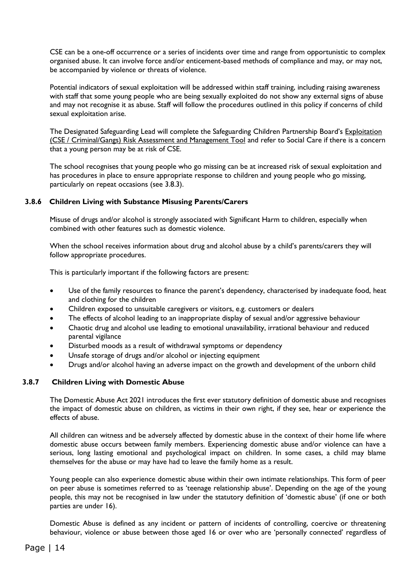CSE can be a one-off occurrence or a series of incidents over time and range from opportunistic to complex organised abuse. It can involve force and/or enticement-based methods of compliance and may, or may not, be accompanied by violence or threats of violence.

Potential indicators of sexual exploitation will be addressed within staff training, including raising awareness with staff that some young people who are being sexually exploited do not show any external signs of abuse and may not recognise it as abuse. Staff will follow the procedures outlined in this policy if concerns of child sexual exploitation arise.

The Designated Safeguarding Lead will complete the Safeguarding Children Partnership Board's [Exploitation](http://www.safeguardingcambspeterborough.org.uk/wp-content/uploads/2018/05/Exploitation-CSECCE-Risk-Assessment-Tool.docx)  [\(CSE / Criminal/Gangs\) Risk Assessment and Management Tool](http://www.safeguardingcambspeterborough.org.uk/wp-content/uploads/2018/05/Exploitation-CSECCE-Risk-Assessment-Tool.docx) and refer to Social Care if there is a concern that a young person may be at risk of CSE.

The school recognises that young people who go missing can be at increased risk of sexual exploitation and has procedures in place to ensure appropriate response to children and young people who go missing, particularly on repeat occasions (see 3.8.3).

#### **3.8.6 Children Living with Substance Misusing Parents/Carers**

Misuse of drugs and/or alcohol is strongly associated with Significant Harm to children, especially when combined with other features such as domestic violence.

When the school receives information about drug and alcohol abuse by a child's parents/carers they will follow appropriate procedures.

This is particularly important if the following factors are present:

- Use of the family resources to finance the parent's dependency, characterised by inadequate food, heat and clothing for the children
- Children exposed to unsuitable caregivers or visitors, e.g. customers or dealers
- The effects of alcohol leading to an inappropriate display of sexual and/or aggressive behaviour
- Chaotic drug and alcohol use leading to emotional unavailability, irrational behaviour and reduced parental vigilance
- Disturbed moods as a result of withdrawal symptoms or dependency
- Unsafe storage of drugs and/or alcohol or injecting equipment
- Drugs and/or alcohol having an adverse impact on the growth and development of the unborn child

#### **3.8.7 Children Living with Domestic Abuse**

The Domestic Abuse Act 2021 introduces the first ever statutory definition of domestic abuse and recognises the impact of domestic abuse on children, as victims in their own right, if they see, hear or experience the effects of abuse.

All children can witness and be adversely affected by domestic abuse in the context of their home life where domestic abuse occurs between family members. Experiencing domestic abuse and/or violence can have a serious, long lasting emotional and psychological impact on children. In some cases, a child may blame themselves for the abuse or may have had to leave the family home as a result.

Young people can also experience domestic abuse within their own intimate relationships. This form of peer on peer abuse is sometimes referred to as 'teenage relationship abuse'. Depending on the age of the young people, this may not be recognised in law under the statutory definition of 'domestic abuse' (if one or both parties are under 16).

Domestic Abuse is defined as any incident or pattern of incidents of controlling, coercive or threatening behaviour, violence or abuse between those aged 16 or over who are 'personally connected' regardless of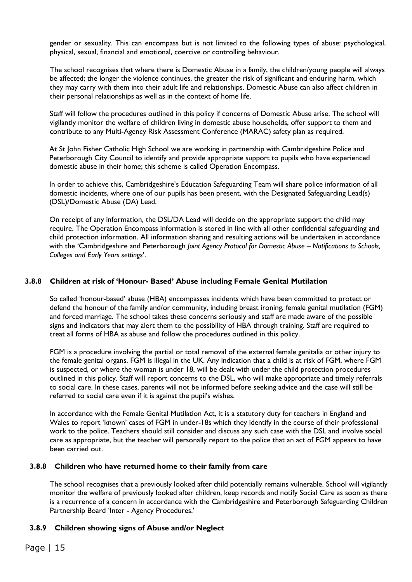gender or sexuality. This can encompass but is not limited to the following types of abuse: psychological, physical, sexual, financial and emotional, coercive or controlling behaviour.

The school recognises that where there is Domestic Abuse in a family, the children/young people will always be affected; the longer the violence continues, the greater the risk of significant and enduring harm, which they may carry with them into their adult life and relationships. Domestic Abuse can also affect children in their personal relationships as well as in the context of home life.

Staff will follow the procedures outlined in this policy if concerns of Domestic Abuse arise. The school will vigilantly monitor the welfare of children living in domestic abuse households, offer support to them and contribute to any Multi-Agency Risk Assessment Conference (MARAC) safety plan as required.

At St John Fisher Catholic High School we are working in partnership with Cambridgeshire Police and Peterborough City Council to identify and provide appropriate support to pupils who have experienced domestic abuse in their home; this scheme is called Operation Encompass.

In order to achieve this, Cambridgeshire's Education Safeguarding Team will share police information of all domestic incidents, where one of our pupils has been present, with the Designated Safeguarding Lead(s) (DSL)/Domestic Abuse (DA) Lead.

On receipt of any information, the DSL/DA Lead will decide on the appropriate support the child may require. The Operation Encompass information is stored in line with all other confidential safeguarding and child protection information. All information sharing and resulting actions will be undertaken in accordance with the 'Cambridgeshire and Peterborough *Joint Agency Protocol for Domestic Abuse – Notifications to Schools, Colleges and Early Years settings*'.

#### **3.8.8 Children at risk of 'Honour- Based' Abuse including Female Genital Mutilation**

So called 'honour-based' abuse (HBA) encompasses incidents which have been committed to protect or defend the honour of the family and/or community, including breast ironing, female genital mutilation (FGM) and forced marriage. The school takes these concerns seriously and staff are made aware of the possible signs and indicators that may alert them to the possibility of HBA through training. Staff are required to treat all forms of HBA as abuse and follow the procedures outlined in this policy.

FGM is a procedure involving the partial or total removal of the external female genitalia or other injury to the female genital organs. FGM is illegal in the UK. Any indication that a child is at risk of FGM, where FGM is suspected, or where the woman is under 18, will be dealt with under the child protection procedures outlined in this policy. Staff will report concerns to the DSL, who will make appropriate and timely referrals to social care. In these cases, parents will not be informed before seeking advice and the case will still be referred to social care even if it is against the pupil's wishes.

In accordance with the Female Genital Mutilation Act, it is a statutory duty for teachers in England and Wales to report 'known' cases of FGM in under-18s which they identify in the course of their professional work to the police. Teachers should still consider and discuss any such case with the DSL and involve social care as appropriate, but the teacher will personally report to the police that an act of FGM appears to have been carried out.

#### **3.8.8 Children who have returned home to their family from care**

The school recognises that a previously looked after child potentially remains vulnerable. School will vigilantly monitor the welfare of previously looked after children, keep records and notify Social Care as soon as there is a recurrence of a concern in accordance with the Cambridgeshire and Peterborough Safeguarding Children Partnership Board 'Inter - Agency Procedures.'

#### **3.8.9 Children showing signs of Abuse and/or Neglect**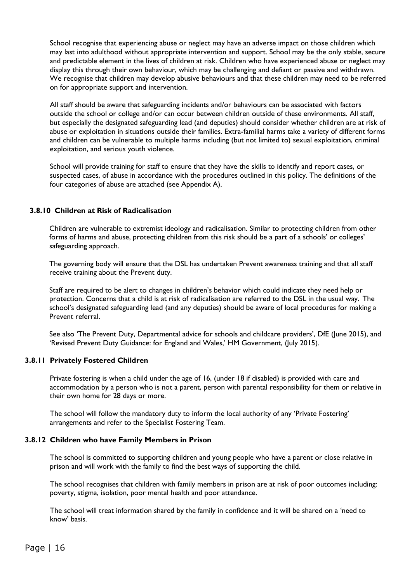School recognise that experiencing abuse or neglect may have an adverse impact on those children which may last into adulthood without appropriate intervention and support. School may be the only stable, secure and predictable element in the lives of children at risk. Children who have experienced abuse or neglect may display this through their own behaviour, which may be challenging and defiant or passive and withdrawn. We recognise that children may develop abusive behaviours and that these children may need to be referred on for appropriate support and intervention.

All staff should be aware that safeguarding incidents and/or behaviours can be associated with factors outside the school or college and/or can occur between children outside of these environments. All staff, but especially the designated safeguarding lead (and deputies) should consider whether children are at risk of abuse or exploitation in situations outside their families. Extra-familial harms take a variety of different forms and children can be vulnerable to multiple harms including (but not limited to) sexual exploitation, criminal exploitation, and serious youth violence.

School will provide training for staff to ensure that they have the skills to identify and report cases, or suspected cases, of abuse in accordance with the procedures outlined in this policy. The definitions of the four categories of abuse are attached (see Appendix A).

#### **3.8.10 Children at Risk of Radicalisation**

Children are vulnerable to extremist ideology and radicalisation. Similar to protecting children from other forms of harms and abuse, protecting children from this risk should be a part of a schools' or colleges' safeguarding approach.

The governing body will ensure that the DSL has undertaken Prevent awareness training and that all staff receive training about the Prevent duty.

Staff are required to be alert to changes in children's behavior which could indicate they need help or protection. Concerns that a child is at risk of radicalisation are referred to the DSL in the usual way. The school's designated safeguarding lead (and any deputies) should be aware of local procedures for making a Prevent referral.

See also 'The Prevent Duty, Departmental advice for schools and childcare providers', DfE (June 2015), and 'Revised Prevent Duty Guidance: for England and Wales,' HM Government, (July 2015).

#### **3.8.11 Privately Fostered Children**

Private fostering is when a child under the age of 16, (under 18 if disabled) is provided with care and accommodation by a person who is not a parent, person with parental responsibility for them or relative in their own home for 28 days or more.

The school will follow the mandatory duty to inform the local authority of any 'Private Fostering' arrangements and refer to the Specialist Fostering Team.

#### **3.8.12 Children who have Family Members in Prison**

The school is committed to supporting children and young people who have a parent or close relative in prison and will work with the family to find the best ways of supporting the child.

The school recognises that children with family members in prison are at risk of poor outcomes including: poverty, stigma, isolation, poor mental health and poor attendance.

The school will treat information shared by the family in confidence and it will be shared on a 'need to know' basis.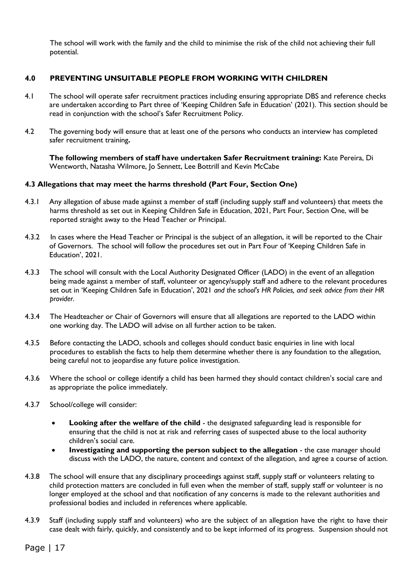The school will work with the family and the child to minimise the risk of the child not achieving their full potential.

#### **4.0 PREVENTING UNSUITABLE PEOPLE FROM WORKING WITH CHILDREN**

- 4.1 The school will operate safer recruitment practices including ensuring appropriate DBS and reference checks are undertaken according to Part three of 'Keeping Children Safe in Education' (2021). This section should be read in conjunction with the school's Safer Recruitment Policy.
- 4.2 The governing body will ensure that at least one of the persons who conducts an interview has completed safer recruitment training**.**

**The following members of staff have undertaken Safer Recruitment training:** Kate Pereira, Di Wentworth, Natasha Wilmore, Jo Sennett, Lee Bottrill and Kevin McCabe

#### **4.3 Allegations that may meet the harms threshold (Part Four, Section One)**

- 4.3.1 Any allegation of abuse made against a member of staff (including supply staff and volunteers) that meets the harms threshold as set out in Keeping Children Safe in Education, 2021, Part Four, Section One, will be reported straight away to the Head Teacher or Principal.
- 4.3.2 In cases where the Head Teacher or Principal is the subject of an allegation, it will be reported to the Chair of Governors. The school will follow the procedures set out in Part Four of 'Keeping Children Safe in Education', 2021.
- 4.3.3 The school will consult with the Local Authority Designated Officer (LADO) in the event of an allegation being made against a member of staff, volunteer or agency/supply staff and adhere to the relevant procedures set out in 'Keeping Children Safe in Education', 2021 *and the school's HR Policies, and seek advice from their HR provider.*
- 4.3.4 The Headteacher or Chair of Governors will ensure that all allegations are reported to the LADO within one working day. The LADO will advise on all further action to be taken.
- 4.3.5 Before contacting the LADO, schools and colleges should conduct basic enquiries in line with local procedures to establish the facts to help them determine whether there is any foundation to the allegation, being careful not to jeopardise any future police investigation.
- 4.3.6 Where the school or college identify a child has been harmed they should contact children's social care and as appropriate the police immediately.
- 4.3.7 School/college will consider:
	- **Looking after the welfare of the child** the designated safeguarding lead is responsible for ensuring that the child is not at risk and referring cases of suspected abuse to the local authority children's social care.
	- **Investigating and supporting the person subject to the allegation** the case manager should discuss with the LADO, the nature, content and context of the allegation, and agree a course of action.
- 4.3.8 The school will ensure that any disciplinary proceedings against staff, supply staff or volunteers relating to child protection matters are concluded in full even when the member of staff, supply staff or volunteer is no longer employed at the school and that notification of any concerns is made to the relevant authorities and professional bodies and included in references where applicable.
- 4.3.9 Staff (including supply staff and volunteers) who are the subject of an allegation have the right to have their case dealt with fairly, quickly, and consistently and to be kept informed of its progress. Suspension should not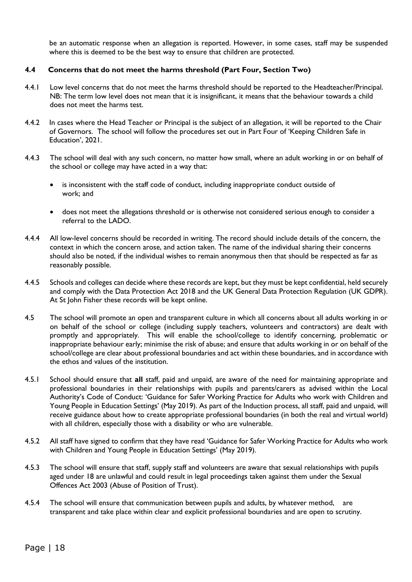be an automatic response when an allegation is reported. However, in some cases, staff may be suspended where this is deemed to be the best way to ensure that children are protected.

#### **4.4 Concerns that do not meet the harms threshold (Part Four, Section Two)**

- 4.4.1 Low level concerns that do not meet the harms threshold should be reported to the Headteacher/Principal. NB: The term low level does not mean that it is insignificant, it means that the behaviour towards a child does not meet the harms test.
- 4.4.2 In cases where the Head Teacher or Principal is the subject of an allegation, it will be reported to the Chair of Governors. The school will follow the procedures set out in Part Four of 'Keeping Children Safe in Education', 2021.
- 4.4.3 The school will deal with any such concern, no matter how small, where an adult working in or on behalf of the school or college may have acted in a way that:
	- is inconsistent with the staff code of conduct, including inappropriate conduct outside of work; and
	- does not meet the allegations threshold or is otherwise not considered serious enough to consider a referral to the LADO.
- 4.4.4 All low-level concerns should be recorded in writing. The record should include details of the concern, the context in which the concern arose, and action taken. The name of the individual sharing their concerns should also be noted, if the individual wishes to remain anonymous then that should be respected as far as reasonably possible.
- 4.4.5 Schools and colleges can decide where these records are kept, but they must be kept confidential, held securely and comply with the Data Protection Act 2018 and the UK General Data Protection Regulation (UK GDPR). At St John Fisher these records will be kept online.
- 4.5 The school will promote an open and transparent culture in which all concerns about all adults working in or on behalf of the school or college (including supply teachers, volunteers and contractors) are dealt with promptly and appropriately. This will enable the school/college to identify concerning, problematic or inappropriate behaviour early; minimise the risk of abuse; and ensure that adults working in or on behalf of the school/college are clear about professional boundaries and act within these boundaries, and in accordance with the ethos and values of the institution.
- 4.5.1 School should ensure that **all** staff, paid and unpaid, are aware of the need for maintaining appropriate and professional boundaries in their relationships with pupils and parents/carers as advised within the Local Authority's Code of Conduct: 'Guidance for Safer Working Practice for Adults who work with Children and Young People in Education Settings' (May 2019). As part of the Induction process, all staff, paid and unpaid, will receive guidance about how to create appropriate professional boundaries (in both the real and virtual world) with all children, especially those with a disability or who are vulnerable.
- 4.5.2 All staff have signed to confirm that they have read 'Guidance for Safer Working Practice for Adults who work with Children and Young People in Education Settings' (May 2019).
- 4.5.3 The school will ensure that staff, supply staff and volunteers are aware that sexual relationships with pupils aged under 18 are unlawful and could result in legal proceedings taken against them under the Sexual Offences Act 2003 (Abuse of Position of Trust).
- 4.5.4 The school will ensure that communication between pupils and adults, by whatever method, are transparent and take place within clear and explicit professional boundaries and are open to scrutiny.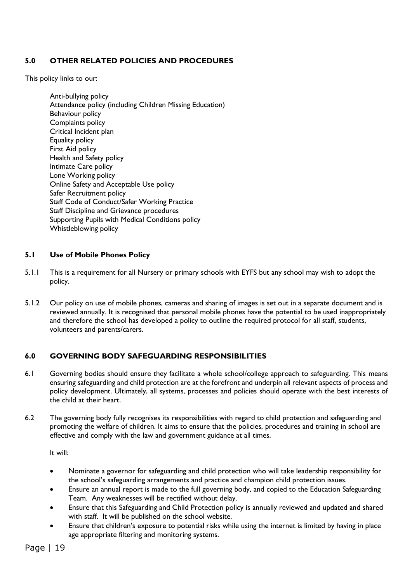#### **5.0 OTHER RELATED POLICIES AND PROCEDURES**

This policy links to our:

Anti-bullying policy Attendance policy (including Children Missing Education) Behaviour policy Complaints policy Critical Incident plan Equality policy First Aid policy Health and Safety policy Intimate Care policy Lone Working policy Online Safety and Acceptable Use policy Safer Recruitment policy Staff Code of Conduct/Safer Working Practice Staff Discipline and Grievance procedures Supporting Pupils with Medical Conditions policy Whistleblowing policy

#### **5.1 Use of Mobile Phones Policy**

- 5.1.1 This is a requirement for all Nursery or primary schools with EYFS but any school may wish to adopt the policy.
- 5.1.2 Our policy on use of mobile phones, cameras and sharing of images is set out in a separate document and is reviewed annually. It is recognised that personal mobile phones have the potential to be used inappropriately and therefore the school has developed a policy to outline the required protocol for all staff, students, volunteers and parents/carers.

#### **6.0 GOVERNING BODY SAFEGUARDING RESPONSIBILITIES**

- 6.1 Governing bodies should ensure they facilitate a whole school/college approach to safeguarding. This means ensuring safeguarding and child protection are at the forefront and underpin all relevant aspects of process and policy development. Ultimately, all systems, processes and policies should operate with the best interests of the child at their heart.
- 6.2 The governing body fully recognises its responsibilities with regard to child protection and safeguarding and promoting the welfare of children. It aims to ensure that the policies, procedures and training in school are effective and comply with the law and government guidance at all times.

It will:

- Nominate a governor for safeguarding and child protection who will take leadership responsibility for the school's safeguarding arrangements and practice and champion child protection issues.
- Ensure an annual report is made to the full governing body, and copied to the Education Safeguarding Team. Any weaknesses will be rectified without delay.
- Ensure that this Safeguarding and Child Protection policy is annually reviewed and updated and shared with staff. It will be published on the school website.
- Ensure that children's exposure to potential risks while using the internet is limited by having in place age appropriate filtering and monitoring systems.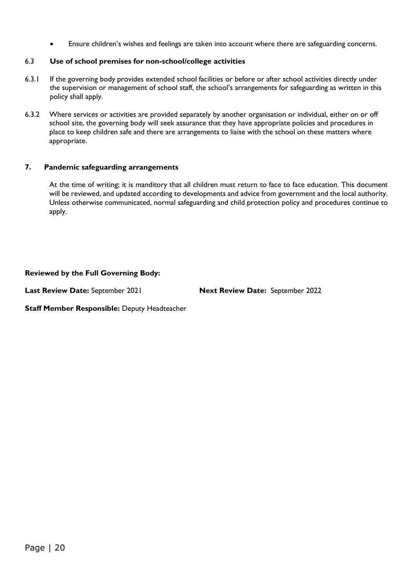Ensure children's wishes and feelings are taken into account where there are safeguarding concerns.

#### 6.3 **Use of school premises for non-school/college activities**

- 6.3.1 If the governing body provides extended school facilities or before or after school activities directly under the supervision or management of school staff, the school's arrangements for safeguarding as written in this policy shall apply.
- 6.3.2 Where services or activities are provided separately by another organisation or individual, either on or off school site, the governing body will seek assurance that they have appropriate policies and procedures in place to keep children safe and there are arrangements to liaise with the school on these matters where appropriate.

#### **7. Pandemic safeguarding arrangements**

At the time of writing; it is manditory that all children must return to face to face education. This document will be reviewed, and updated according to developments and advice from government and the local authority. Unless otherwise communicated, normal safeguarding and child protection policy and procedures continue to apply.

#### **Reviewed by the Full Governing Body:**

**Last Review Date:** September 2021 **Next Review Date:** September 2022

**Staff Member Responsible:** Deputy Headteacher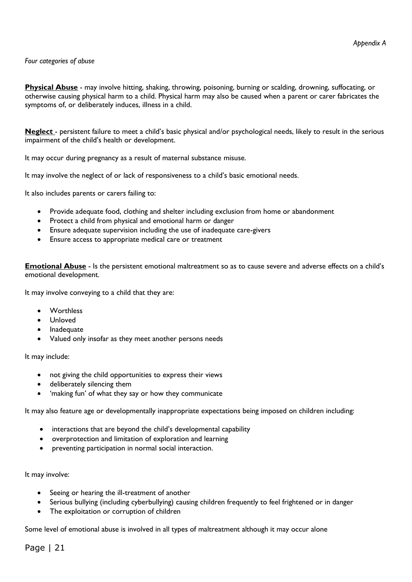#### *Four categories of abuse*

**Physical Abuse** - may involve hitting, shaking, throwing, poisoning, burning or scalding, drowning, suffocating, or otherwise causing physical harm to a child. Physical harm may also be caused when a parent or carer fabricates the symptoms of, or deliberately induces, illness in a child.

**Neglect** - persistent failure to meet a child's basic physical and/or psychological needs, likely to result in the serious impairment of the child's health or development.

It may occur during pregnancy as a result of maternal substance misuse.

It may involve the neglect of or lack of responsiveness to a child's basic emotional needs.

It also includes parents or carers failing to:

- Provide adequate food, clothing and shelter including exclusion from home or abandonment
- Protect a child from physical and emotional harm or danger
- Ensure adequate supervision including the use of inadequate care-givers
- Ensure access to appropriate medical care or treatment

**Emotional Abuse** - Is the persistent emotional maltreatment so as to cause severe and adverse effects on a child's emotional development.

It may involve conveying to a child that they are:

- Worthless
- Unloved
- Inadequate
- Valued only insofar as they meet another persons needs

It may include:

- not giving the child opportunities to express their views
- deliberately silencing them
- 'making fun' of what they say or how they communicate

It may also feature age or developmentally inappropriate expectations being imposed on children including:

- interactions that are beyond the child's developmental capability
- overprotection and limitation of exploration and learning
- preventing participation in normal social interaction.

#### It may involve:

- Seeing or hearing the ill-treatment of another
- Serious bullying (including cyberbullying) causing children frequently to feel frightened or in danger
- The exploitation or corruption of children

Some level of emotional abuse is involved in all types of maltreatment although it may occur alone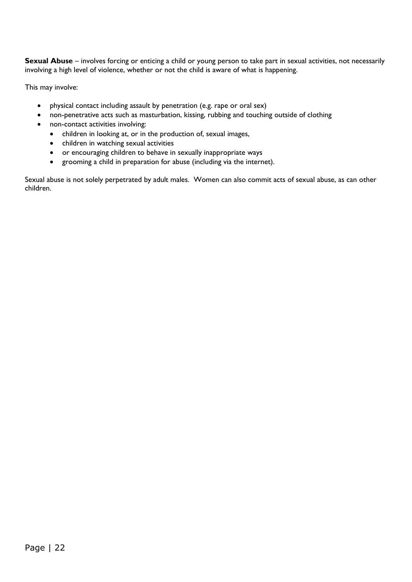**Sexual Abuse** – involves forcing or enticing a child or young person to take part in sexual activities, not necessarily involving a high level of violence, whether or not the child is aware of what is happening.

This may involve:

- physical contact including assault by penetration (e.g. rape or oral sex)
- non-penetrative acts such as masturbation, kissing, rubbing and touching outside of clothing
- non-contact activities involving:
	- children in looking at, or in the production of, sexual images,
	- children in watching sexual activities
	- or encouraging children to behave in sexually inappropriate ways
	- grooming a child in preparation for abuse (including via the internet).

Sexual abuse is not solely perpetrated by adult males. Women can also commit acts of sexual abuse, as can other children.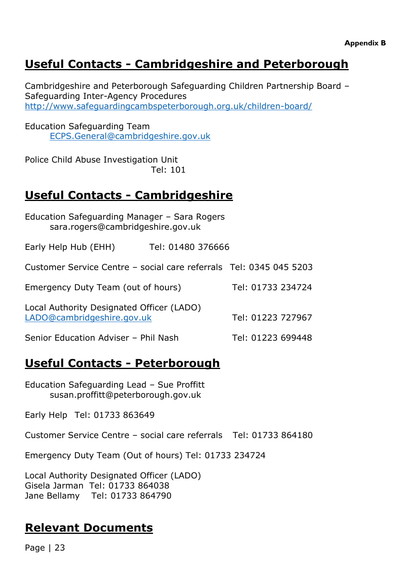# **Useful Contacts - Cambridgeshire and Peterborough**

Cambridgeshire and Peterborough Safeguarding Children Partnership Board – Safeguarding Inter-Agency Procedures <http://www.safeguardingcambspeterborough.org.uk/children-board/>

Education Safeguarding Team [ECPS.General@cambridgeshire.gov.uk](mailto:ECPS.General@cambridgeshire.gov.uk)

Police Child Abuse Investigation Unit Tel: 101

# **Useful Contacts - Cambridgeshire**

| Education Safeguarding Manager - Sara Rogers<br>sara.rogers@cambridgeshire.gov.uk |                   |                   |  |  |  |
|-----------------------------------------------------------------------------------|-------------------|-------------------|--|--|--|
| Early Help Hub (EHH)                                                              | Tel: 01480 376666 |                   |  |  |  |
| Customer Service Centre - social care referrals Tel: 0345 045 5203                |                   |                   |  |  |  |
| Emergency Duty Team (out of hours)                                                |                   | Tel: 01733 234724 |  |  |  |
| Local Authority Designated Officer (LADO)<br>LADO@cambridgeshire.gov.uk           | Tel: 01223 727967 |                   |  |  |  |
| Senior Education Adviser - Phil Nash                                              |                   | Tel: 01223 699448 |  |  |  |

# **Useful Contacts - Peterborough**

Education Safeguarding Lead – Sue Proffitt susan.proffitt@peterborough.gov.uk

Early Help Tel: 01733 863649

Customer Service Centre – social care referrals Tel: 01733 864180

Emergency Duty Team (Out of hours) Tel: 01733 234724

Local Authority Designated Officer (LADO) Gisela Jarman Tel: 01733 864038 Jane Bellamy Tel: 01733 864790

## **Relevant Documents**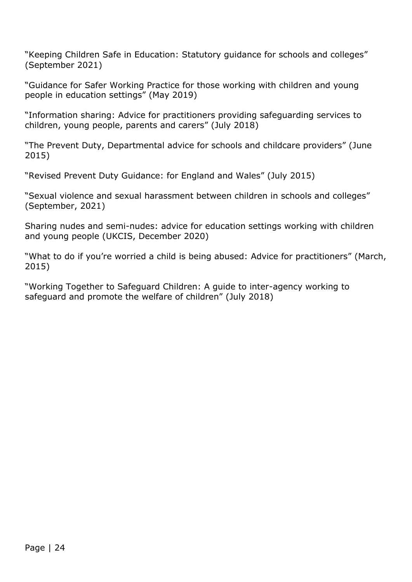"Keeping Children Safe in Education: Statutory guidance for schools and colleges" (September 2021)

"Guidance for Safer Working Practice for those working with children and young people in education settings" (May 2019)

"Information sharing: Advice for practitioners providing safeguarding services to children, young people, parents and carers" (July 2018)

"The Prevent Duty, Departmental advice for schools and childcare providers" (June 2015)

"Revised Prevent Duty Guidance: for England and Wales" (July 2015)

"Sexual violence and sexual harassment between children in schools and colleges" (September, 2021)

Sharing nudes and semi-nudes: advice for education settings working with children and young people (UKCIS, December 2020)

"What to do if you're worried a child is being abused: Advice for practitioners" (March, 2015)

"Working Together to Safeguard Children: A guide to inter-agency working to safeguard and promote the welfare of children" (July 2018)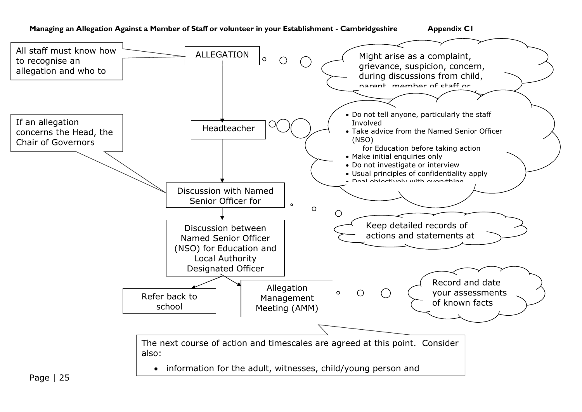